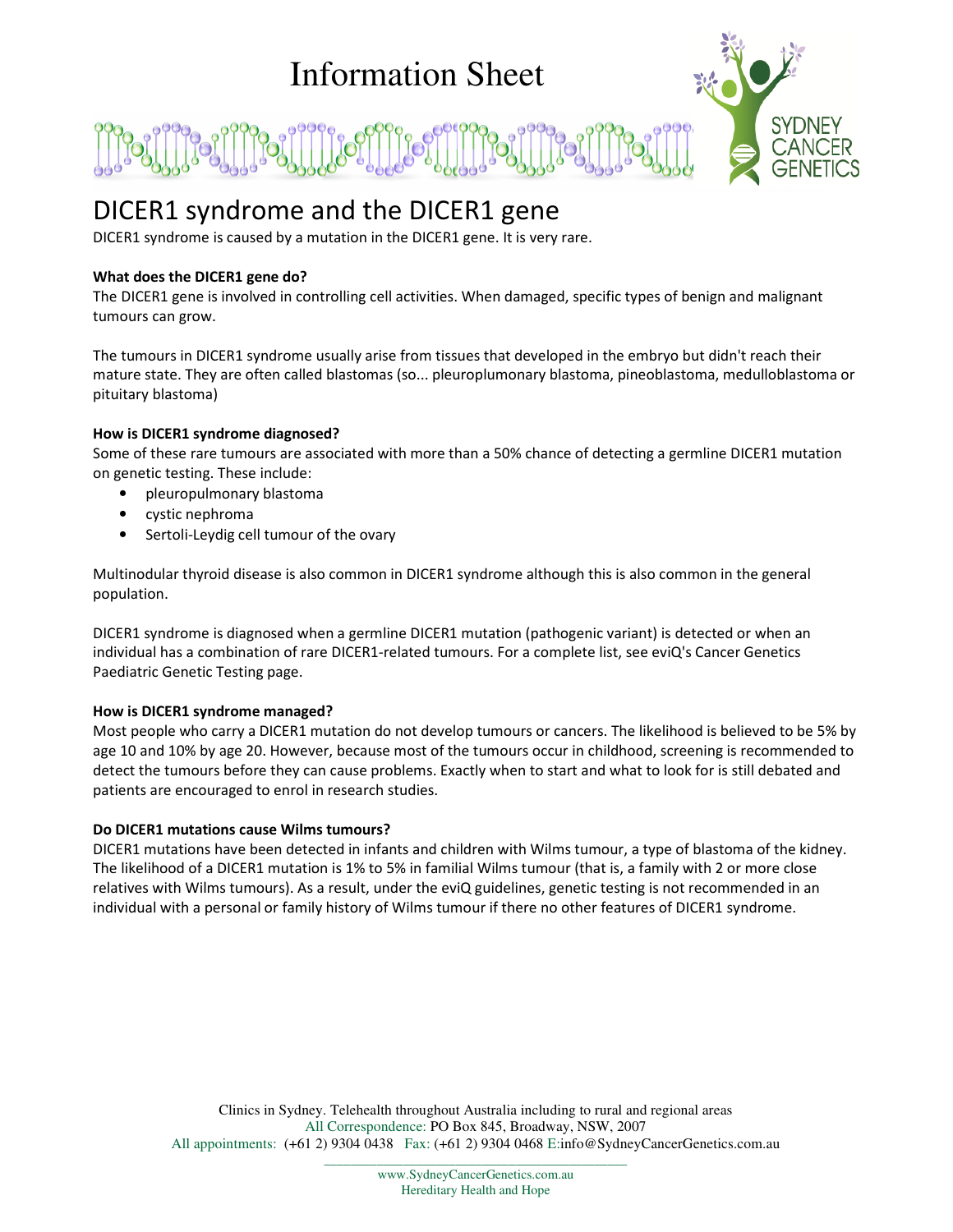# Information Sheet



## DICER1 syndrome and the DICER1 gene

DICER1 syndrome is caused by a mutation in the DICER1 gene. It is very rare.

### **What does the DICER1 gene do?**

The DICER1 gene is involved in controlling cell activities. When damaged, specific types of benign and malignant tumours can grow.

The tumours in DICER1 syndrome usually arise from tissues that developed in the embryo but didn't reach their mature state. They are often called blastomas (so... pleuroplumonary blastoma, pineoblastoma, medulloblastoma or pituitary blastoma)

#### **How is DICER1 syndrome diagnosed?**

Some of these rare tumours are associated with more than a 50% chance of detecting a germline DICER1 mutation on genetic testing. These include:

- pleuropulmonary blastoma
- cystic nephroma
- Sertoli-Leydig cell tumour of the ovary

Multinodular thyroid disease is also common in DICER1 syndrome although this is also common in the general population.

DICER1 syndrome is diagnosed when a germline DICER1 mutation (pathogenic variant) is detected or when an individual has a combination of rare DICER1-related tumours. For a complete list, see eviQ's Cancer Genetics Paediatric Genetic Testing page.

#### **How is DICER1 syndrome managed?**

Most people who carry a DICER1 mutation do not develop tumours or cancers. The likelihood is believed to be 5% by age 10 and 10% by age 20. However, because most of the tumours occur in childhood, screening is recommended to detect the tumours before they can cause problems. Exactly when to start and what to look for is still debated and patients are encouraged to enrol in research studies.

#### **Do DICER1 mutations cause Wilms tumours?**

DICER1 mutations have been detected in infants and children with Wilms tumour, a type of blastoma of the kidney. The likelihood of a DICER1 mutation is 1% to 5% in familial Wilms tumour (that is, a family with 2 or more close relatives with Wilms tumours). As a result, under the eviQ guidelines, genetic testing is not recommended in an individual with a personal or family history of Wilms tumour if there no other features of DICER1 syndrome.